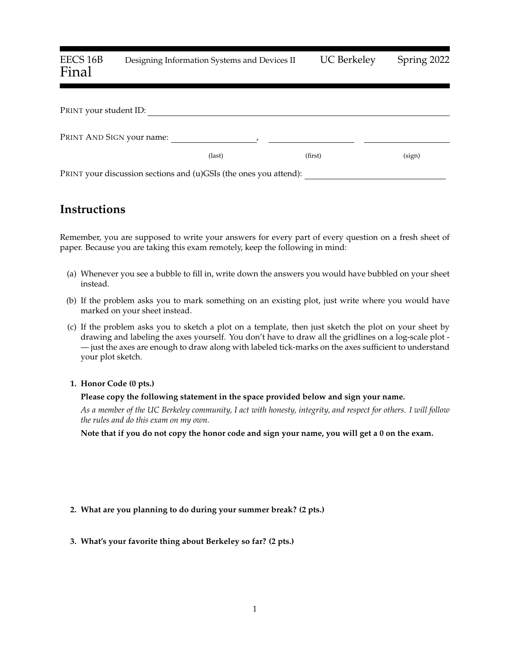# EECS 16B Designing Information Systems and Devices II UC Berkeley Spring 2022 Final

| PRINT your student ID:                                            |        |         |        |
|-------------------------------------------------------------------|--------|---------|--------|
| PRINT AND SIGN your name:                                         |        |         |        |
|                                                                   | (last) | (first) | (sign) |
| PRINT your discussion sections and (u)GSIs (the ones you attend): |        |         |        |

## **Instructions**

Remember, you are supposed to write your answers for every part of every question on a fresh sheet of paper. Because you are taking this exam remotely, keep the following in mind:

- (a) Whenever you see a bubble to fill in, write down the answers you would have bubbled on your sheet instead.
- (b) If the problem asks you to mark something on an existing plot, just write where you would have marked on your sheet instead.
- (c) If the problem asks you to sketch a plot on a template, then just sketch the plot on your sheet by drawing and labeling the axes yourself. You don't have to draw all the gridlines on a log-scale plot - — just the axes are enough to draw along with labeled tick-marks on the axes sufficient to understand your plot sketch.

#### **1. Honor Code (0 pts.)**

#### **Please copy the following statement in the space provided below and sign your name.**

*As a member of the UC Berkeley community, I act with honesty, integrity, and respect for others. I will follow the rules and do this exam on my own.*

**Note that if you do not copy the honor code and sign your name, you will get a 0 on the exam.**

## **2. What are you planning to do during your summer break? (2 pts.)**

**3. What's your favorite thing about Berkeley so far? (2 pts.)**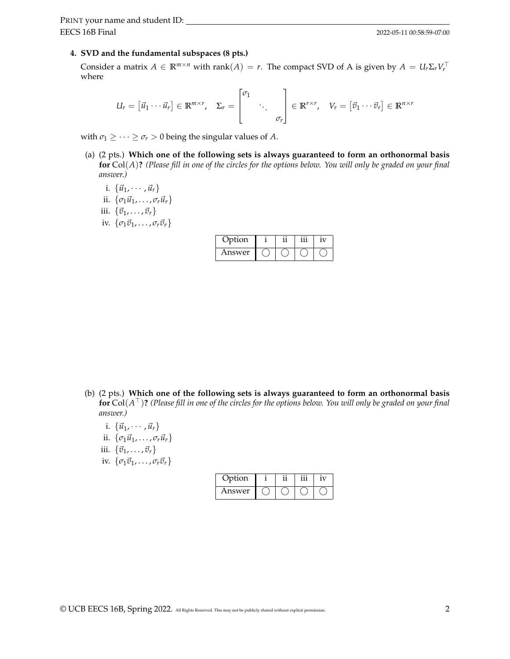## **4. SVD and the fundamental subspaces (8 pts.)**

Consider a matrix  $A \in \mathbb{R}^{m \times n}$  with rank $(A) = r$ . The compact SVD of A is given by  $A = U_r \Sigma_r V_r^{\top}$ where

$$
U_r = [\vec{u}_1 \cdots \vec{u}_r] \in \mathbb{R}^{m \times r}, \quad \Sigma_r = \begin{bmatrix} \sigma_1 & & \\ & \ddots & \\ & & \sigma_r \end{bmatrix} \in \mathbb{R}^{r \times r}, \quad V_r = [\vec{v}_1 \cdots \vec{v}_r] \in \mathbb{R}^{n \times r}
$$

with  $\sigma_1 \geq \cdots \geq \sigma_r > 0$  being the singular values of *A*.

- (a) (2 pts.) **Which one of the following sets is always guaranteed to form an orthonormal basis for** Col(*A*)**?** *(Please fill in one of the circles for the options below. You will only be graded on your final answer.)*
	- i.  $\{\vec{u}_1, \cdots, \vec{u}_r\}$ ii.  $\{\sigma_1\vec{u}_1,\ldots,\sigma_r\vec{u}_r\}$
	- iii.  $\{\vec{v}_1, \ldots, \vec{v}_r\}$
	- iv.  $\{\sigma_1\vec{v}_1,\ldots,\sigma_r\vec{v}_r\}$

| Option |  |  |
|--------|--|--|
| Answer |  |  |

- (b) (2 pts.) **Which one of the following sets is always guaranteed to form an orthonormal basis for** Col(*A* <sup>⊤</sup>)**?** *(Please fill in one of the circles for the options below. You will only be graded on your final answer.)*
	- i.  $\{\vec{u}_1, \cdots, \vec{u}_r\}$
	- ii.  $\{\sigma_1\vec{u}_1,\ldots,\sigma_r\vec{u}_r\}$
	- iii.  $\{\vec{v}_1, \ldots, \vec{v}_r\}$
	- iv.  $\{\sigma_1 \vec{v}_1, \ldots, \sigma_r \vec{v}_r\}$

| Option |  | V |
|--------|--|---|
| Answer |  |   |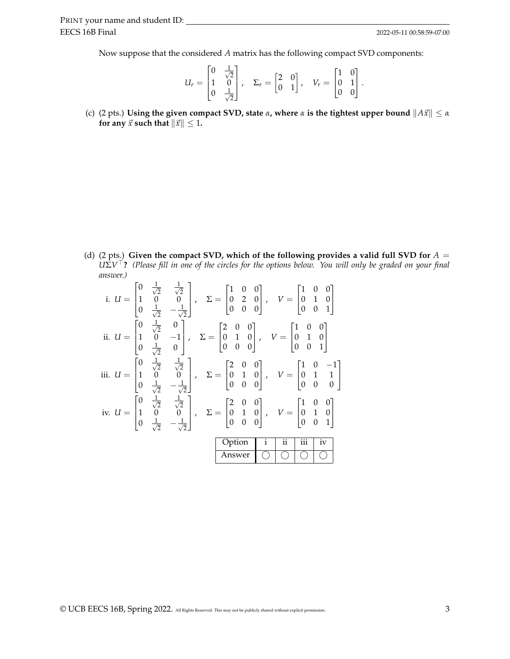Now suppose that the considered *A* matrix has the following compact SVD components:

$$
U_r = \begin{bmatrix} 0 & \frac{1}{\sqrt{2}} \\ 1 & 0 \\ 0 & \frac{1}{\sqrt{2}} \end{bmatrix}, \quad \Sigma_r = \begin{bmatrix} 2 & 0 \\ 0 & 1 \end{bmatrix}, \quad V_r = \begin{bmatrix} 1 & 0 \\ 0 & 1 \\ 0 & 0 \end{bmatrix}.
$$

(c) (2 pts.) **Using the given compact SVD, state**  $\alpha$ , where  $\alpha$  is the tightest upper bound  $||A\vec{x}|| \leq \alpha$ **for any**  $\vec{x}$  **such that**  $\|\vec{x}\| \leq 1$ **.** 

(d) (2 pts.) Given the compact SVD, which of the following provides a valid full SVD for  $A =$ *U*Σ*V* <sup>⊤</sup>**?** *(Please fill in one of the circles for the options below. You will only be graded on your final answer.)*

|  | i. $U = \begin{bmatrix} 0 & \frac{1}{\sqrt{2}} & \frac{1}{\sqrt{2}} \\ 1 & 0 & 0 \\ 0 & \frac{1}{\sqrt{2}} & -\frac{1}{\sqrt{2}} \end{bmatrix}$ , $\Sigma = \begin{bmatrix} 1 & 0 & 0 \\ 0 & 2 & 0 \\ 0 & 0 & 0 \end{bmatrix}$ , $V = \begin{bmatrix} 1 & 0 & 0 \\ 0 & 1 & 0 \\ 0 & 0 & 1 \end{bmatrix}$    |                |                                   |                 |                  |    |  |
|--|-------------------------------------------------------------------------------------------------------------------------------------------------------------------------------------------------------------------------------------------------------------------------------------------------------------|----------------|-----------------------------------|-----------------|------------------|----|--|
|  | ii. $U = \begin{bmatrix} 0 & \frac{1}{\sqrt{2}} & 0 \\ 1 & 0 & -1 \\ 0 & \frac{1}{\sqrt{2}} & 0 \end{bmatrix}$ , $\Sigma = \begin{bmatrix} 2 & 0 & 0 \\ 0 & 1 & 0 \\ 0 & 0 & 0 \end{bmatrix}$ , $V = \begin{bmatrix} 1 & 0 & 0 \\ 0 & 1 & 0 \\ 0 & 0 & 1 \end{bmatrix}$                                     |                |                                   |                 |                  |    |  |
|  | iii. $U = \begin{bmatrix} 0 & \frac{1}{\sqrt{2}} & \frac{1}{\sqrt{2}} \\ 1 & 0 & 0 \\ 0 & \frac{1}{\sqrt{2}} & -\frac{1}{\sqrt{2}} \end{bmatrix}$ , $\Sigma = \begin{bmatrix} 2 & 0 & 0 \\ 0 & 1 & 0 \\ 0 & 0 & 0 \end{bmatrix}$ , $V = \begin{bmatrix} 1 & 0 & -1 \\ 0 & 1 & 1 \\ 0 & 0 & 0 \end{bmatrix}$ |                |                                   |                 |                  |    |  |
|  | iv. $U = \begin{bmatrix} 0 & \frac{1}{\sqrt{2}} & \frac{1}{\sqrt{2}} \\ 1 & 0 & 0 \\ 0 & \frac{1}{\sqrt{2}} & -\frac{1}{\sqrt{2}} \end{bmatrix}$ , $\Sigma = \begin{bmatrix} 2 & 0 & 0 \\ 0 & 1 & 0 \\ 0 & 0 & 0 \end{bmatrix}$ , $V = \begin{bmatrix} 1 & 0 & 0 \\ 0 & 1 & 0 \\ 0 & 0 & 1 \end{bmatrix}$   |                |                                   |                 |                  |    |  |
|  |                                                                                                                                                                                                                                                                                                             | Option         | $\begin{vmatrix} i \end{vmatrix}$ | $\overline{ii}$ | $\overline{iii}$ | iv |  |
|  |                                                                                                                                                                                                                                                                                                             | Answer 0 0 0 0 |                                   |                 |                  |    |  |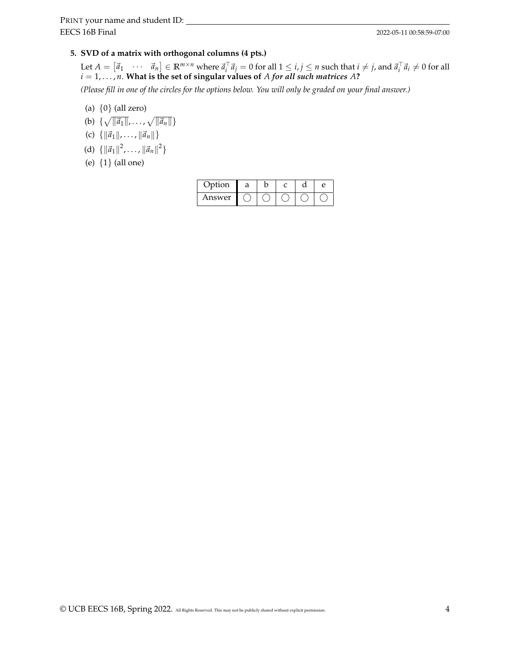## **5. SVD of a matrix with orthogonal columns (4 pts.)**

Let  $A = [\vec{a}_1 \quad \cdots \quad \vec{a}_n] \in \mathbb{R}^{m \times n}$  where  $\vec{a}_i^{\top} \vec{a}_j = 0$  for all  $1 \le i, j \le n$  such that  $i \ne j$ , and  $\vec{a}_i^{\top} \vec{a}_i \ne 0$  for all  $i = 1, \ldots, n$ . What is the set of singular values of *A for all such matrices A*?

*(Please fill in one of the circles for the options below. You will only be graded on your final answer.)*

- (a)  $\{0\}$  (all zero)
- (b)  $\{\sqrt{\|\vec{a}_1\|}, \ldots, \sqrt{\|\vec{a}_n\|}\}$
- (c)  $\{ \|\vec{a}_1\|, \ldots, \|\vec{a}_n\| \}$
- (d)  $\{ ||\vec{a}_1||^2, \ldots, ||\vec{a}_n||^2 \}$
- (e) {1} (all one)

| Option |  |  |  |
|--------|--|--|--|
| Answer |  |  |  |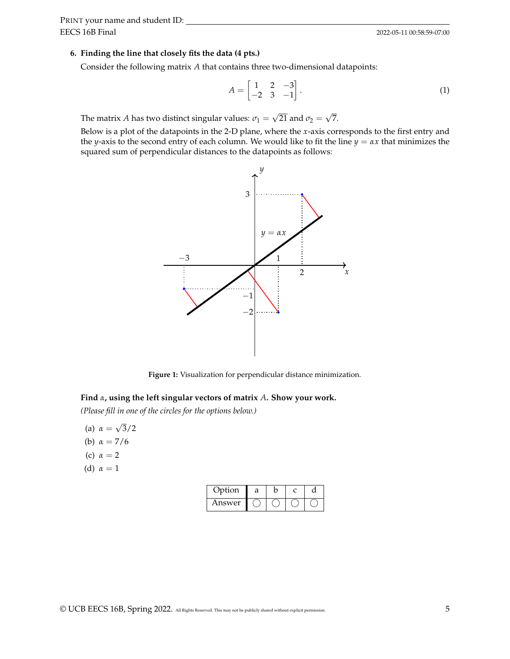#### **6. Finding the line that closely fits the data (4 pts.)**

Consider the following matrix *A* that contains three two-dimensional datapoints:

$$
A = \begin{bmatrix} 1 & 2 & -3 \\ -2 & 3 & -1 \end{bmatrix}.
$$
 (1)

The matrix *A* has two distinct singular values:  $\sigma_1 =$ √ 21 and  $\sigma_2 =$ √ 7.

Below is a plot of the datapoints in the 2-D plane, where the *x*-axis corresponds to the first entry and the *y*-axis to the second entry of each column. We would like to fit the line  $y = \alpha x$  that minimizes the squared sum of perpendicular distances to the datapoints as follows:



**Figure 1:** Visualization for perpendicular distance minimization.

#### **Find** *α***, using the left singular vectors of matrix** *A***. Show your work.**

*(Please fill in one of the circles for the options below.)*

- (a) *α* = √ 3/2
- (b) *α* = 7/6
- (c)  $\alpha = 2$
- (d)  $\alpha = 1$

| Option | a |  |  |
|--------|---|--|--|
| Answer |   |  |  |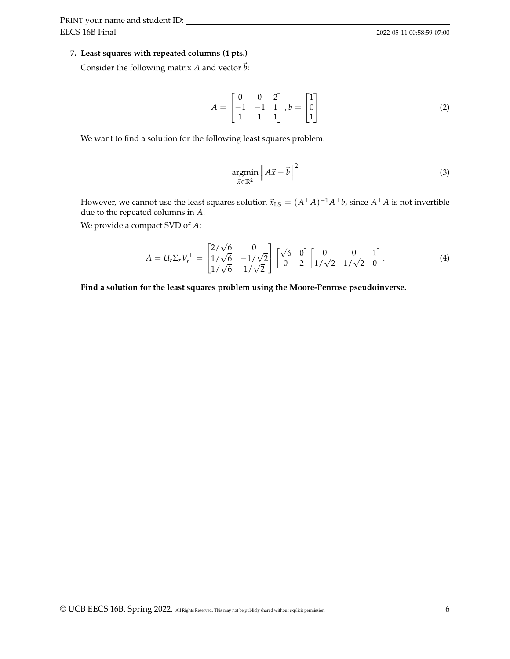#### **7. Least squares with repeated columns (4 pts.)**

Consider the following matrix *A* and vector  $\vec{b}$ :

$$
A = \begin{bmatrix} 0 & 0 & 2 \\ -1 & -1 & 1 \\ 1 & 1 & 1 \end{bmatrix}, b = \begin{bmatrix} 1 \\ 0 \\ 1 \end{bmatrix}
$$
 (2)

We want to find a solution for the following least squares problem:

$$
\underset{\vec{x}\in\mathbb{R}^2}{\operatorname{argmin}}\left\|A\vec{x}-\vec{b}\right\|^2\tag{3}
$$

However, we cannot use the least squares solution  $\vec{x}_{\rm LS}=(A^\top A)^{-1}A^\top b$ , since  $A^\top A$  is not invertible due to the repeated columns in *A*.

We provide a compact SVD of *A*:

$$
A = U_r \Sigma_r V_r^\top = \begin{bmatrix} 2/\sqrt{6} & 0 \\ 1/\sqrt{6} & -1/\sqrt{2} \\ 1/\sqrt{6} & 1/\sqrt{2} \end{bmatrix} \begin{bmatrix} \sqrt{6} & 0 \\ 0 & 2 \end{bmatrix} \begin{bmatrix} 0 & 0 & 1 \\ 1/\sqrt{2} & 1/\sqrt{2} & 0 \end{bmatrix}.
$$
 (4)

**Find a solution for the least squares problem using the Moore-Penrose pseudoinverse.**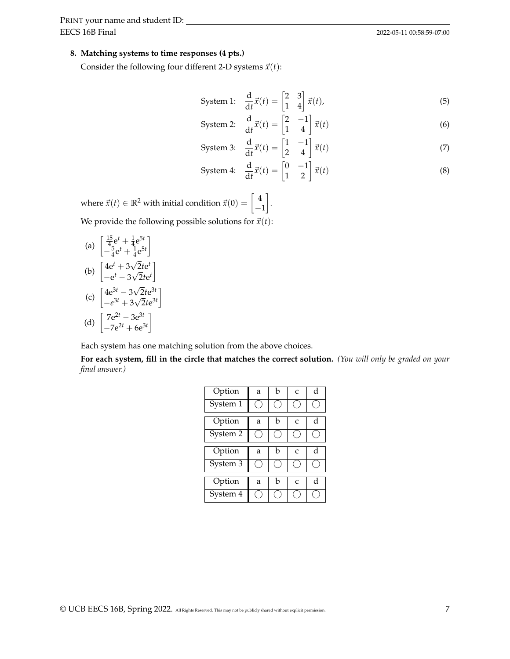## **8. Matching systems to time responses (4 pts.)**

Consider the following four different 2-D systems  $\vec{x}(t)$ :

$$
\text{System 1:} \quad \frac{\mathrm{d}}{\mathrm{d}t} \vec{x}(t) = \begin{bmatrix} 2 & 3 \\ 1 & 4 \end{bmatrix} \vec{x}(t),\tag{5}
$$

$$
\text{System 2:} \quad \frac{\mathrm{d}}{\mathrm{d}t} \vec{x}(t) = \begin{bmatrix} 2 & -1 \\ 1 & 4 \end{bmatrix} \vec{x}(t) \tag{6}
$$

$$
\text{System 3:} \quad \frac{\text{d}}{\text{d}t}\vec{x}(t) = \begin{bmatrix} 1 & -1 \\ 2 & 4 \end{bmatrix}\vec{x}(t) \tag{7}
$$

$$
\text{System 4:} \quad \frac{\text{d}}{\text{d}t}\vec{x}(t) = \begin{bmatrix} 0 & -1 \\ 1 & 2 \end{bmatrix}\vec{x}(t) \tag{8}
$$

where  $\vec{x}(t) \in \mathbb{R}^2$  with initial condition  $\vec{x}(0) = \left[\begin{array}{c} 4 \end{array}\right]$ −1 . We provide the following possible solutions for  $\vec{x}(t)$ :

(a) 
$$
\begin{bmatrix} \frac{15}{4}e^{t} + \frac{1}{4}e^{5t} \\ -\frac{5}{4}e^{t} + \frac{1}{4}e^{5t} \end{bmatrix}
$$
  
(b) 
$$
\begin{bmatrix} 4e^{t} + 3\sqrt{2}te^{t} \\ -e^{t} - 3\sqrt{2}te^{t} \end{bmatrix}
$$

(c) 
$$
\begin{bmatrix} 4e^{3t} - 3\sqrt{2}te^{3t} \\ -e^{3t} + 3\sqrt{2}te^{3t} \end{bmatrix}
$$
  
(d) 
$$
\begin{bmatrix} 7e^{2t} - 3e^{3t} \\ -7e^{2t} + 6e^{3t} \end{bmatrix}
$$

Each system has one matching solution from the above choices.

**For each system, fill in the circle that matches the correct solution.** *(You will only be graded on your final answer.)*

| Option   | a | h | $\mathcal{C}$ | d |
|----------|---|---|---------------|---|
| System 1 |   |   |               |   |
| Option   | a | h | $\mathcal{C}$ | d |
| System 2 |   |   |               |   |
| Option   | a | h | $\mathcal{C}$ | d |
| System 3 |   |   |               |   |
| Option   | a | h | $\mathcal{C}$ | d |
|          |   |   |               |   |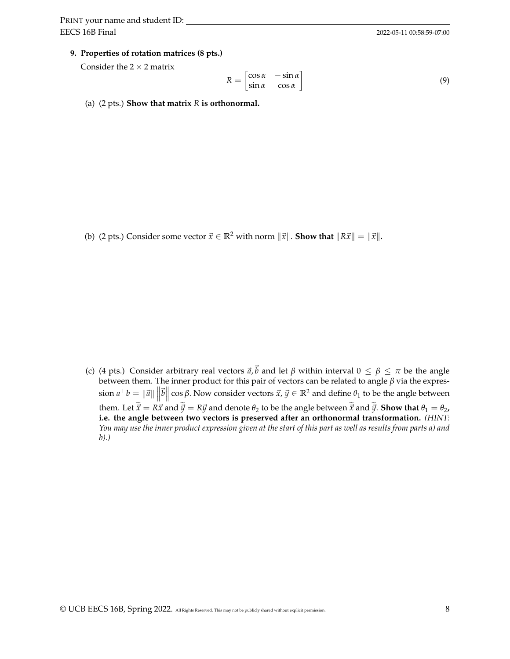#### **9. Properties of rotation matrices (8 pts.)**

Consider the  $2 \times 2$  matrix

$$
R = \begin{bmatrix} \cos \alpha & -\sin \alpha \\ \sin \alpha & \cos \alpha \end{bmatrix}
$$
 (9)

(a) (2 pts.) **Show that matrix** *R* **is orthonormal.**

(b) (2 pts.) Consider some vector  $\vec{x} \in \mathbb{R}^2$  with norm  $\|\vec{x}\|$ . **Show that**  $\|R\vec{x}\| = \|\vec{x}\|$ .

(c) (4 pts.) Consider arbitrary real vectors  $\vec{a}$ , $\vec{b}$  and let  $\beta$  within interval  $0 \leq \beta \leq \pi$  be the angle between them. The inner product for this pair of vectors can be related to angle *β* via the expres- $\sin a^{\top} b = ||\vec{a}|| \, ||\vec{b}|| \cos \beta$ . Now consider vectors  $\vec{x}$ ,  $\vec{y} \in \mathbb{R}^2$  and define  $\theta_1$  to be the angle between them. Let  $\tilde{\vec{x}} = R\vec{x}$  and  $\tilde{\vec{y}} = R\vec{y}$  and denote  $\theta_2$  to be the angle between  $\tilde{\vec{x}}$  and  $\tilde{\vec{y}}$ . **Show that**  $\theta_1 = \theta_2$ , **i.e. the angle between two vectors is preserved after an orthonormal transformation.** *(HINT: You may use the inner product expression given at the start of this part as well as results from parts a) and b).)*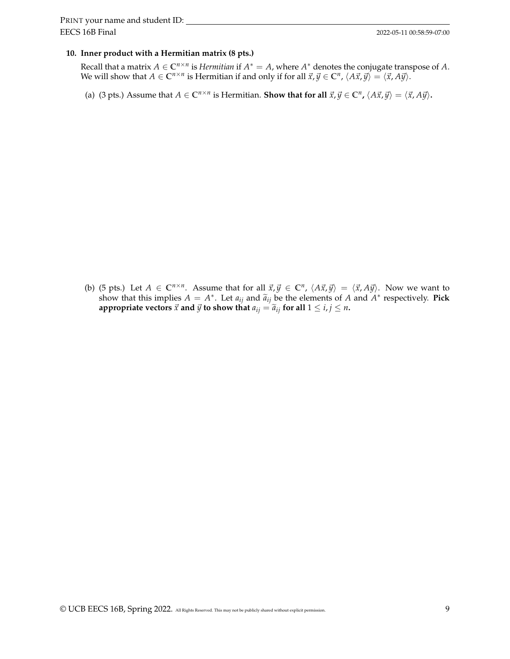#### **10. Inner product with a Hermitian matrix (8 pts.)**

Recall that a matrix  $A \in \mathbb{C}^{n \times n}$  is *Hermitian* if  $A^* = A$ , where  $A^*$  denotes the conjugate transpose of A. We will show that  $A \in \mathbb{C}^{n \times n}$  is Hermitian if and only if for all  $\vec{x}, \vec{y} \in \mathbb{C}^n$ ,  $\langle A\vec{x}, \vec{y} \rangle = \langle \vec{x}, A\vec{y} \rangle$ .

(a) (3 pts.) Assume that  $A \in \mathbb{C}^{n \times n}$  is Hermitian. **Show that for all**  $\vec{x}, \vec{y} \in \mathbb{C}^n$ ,  $\langle A\vec{x}, \vec{y} \rangle = \langle \vec{x}, A\vec{y} \rangle$ .

(b) (5 pts.) Let  $A \in \mathbb{C}^{n \times n}$ . Assume that for all  $\vec{x}, \vec{y} \in \mathbb{C}^n$ ,  $\langle A\vec{x}, \vec{y} \rangle = \langle \vec{x}, A\vec{y} \rangle$ . Now we want to show that this implies  $A = A^*$ . Let  $a_{ij}$  and  $\tilde{a}_{ij}$  be the elements of *A* and  $A^*$  respectively. **Pick**<br>appropriate vectors  $\vec{x}$  and  $\vec{y}$  to show that  $a_{ij} = \tilde{a}_{ij}$  for all  $1 \le i, i \le n$ **appropriate vectors**  $\vec{x}$  **and**  $\vec{y}$  **to show that**  $a_{ij} = \tilde{a}_{ij}$  for all  $1 \le i, j \le n$ .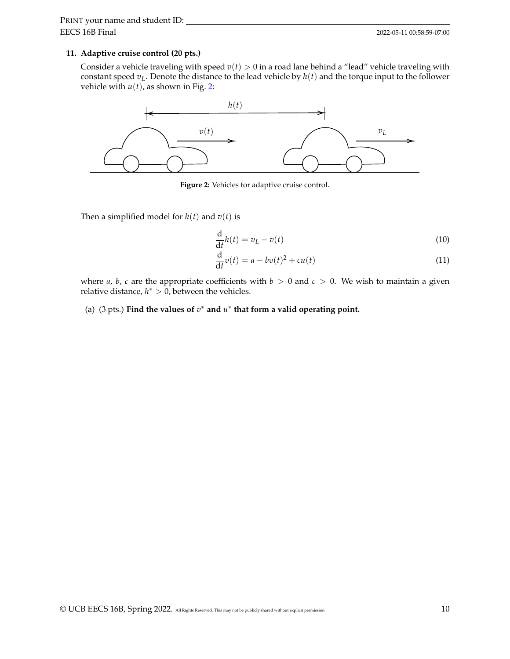#### **11. Adaptive cruise control (20 pts.)**

Consider a vehicle traveling with speed  $v(t) > 0$  in a road lane behind a "lead" vehicle traveling with constant speed  $v_L$ . Denote the distance to the lead vehicle by  $h(t)$  and the torque input to the follower vehicle with  $u(t)$ , as shown in Fig. [2:](#page-9-0)

<span id="page-9-0"></span>

**Figure 2:** Vehicles for adaptive cruise control.

Then a simplified model for  $h(t)$  and  $v(t)$  is

$$
\frac{\mathrm{d}}{\mathrm{d}t}h(t) = v_L - v(t) \tag{10}
$$

$$
\frac{\mathrm{d}}{\mathrm{d}t}v(t) = a - bv(t)^2 + cu(t) \tag{11}
$$

where *a*, *b*, *c* are the appropriate coefficients with  $b > 0$  and  $c > 0$ . We wish to maintain a given relative distance,  $h^* > 0$ , between the vehicles.

(a) (3 pts.) Find the values of  $v^*$  and  $u^*$  that form a valid operating point.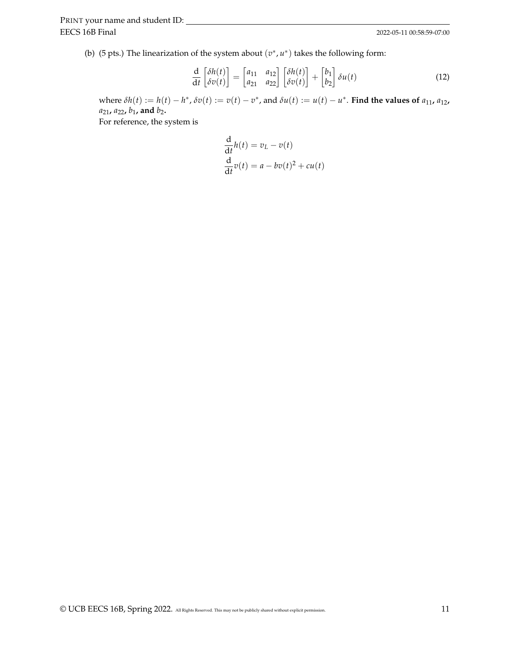(b) (5 pts.) The linearization of the system about  $(v^*, u^*)$  takes the following form:

$$
\frac{d}{dt} \begin{bmatrix} \delta h(t) \\ \delta v(t) \end{bmatrix} = \begin{bmatrix} a_{11} & a_{12} \\ a_{21} & a_{22} \end{bmatrix} \begin{bmatrix} \delta h(t) \\ \delta v(t) \end{bmatrix} + \begin{bmatrix} b_1 \\ b_2 \end{bmatrix} \delta u(t) \tag{12}
$$

where  $\delta h(t) := h(t) - h^*$ ,  $\delta v(t) := v(t) - v^*$ , and  $\delta u(t) := u(t) - u^*$ . Find the values of  $a_{11}$ ,  $a_{12}$ , *a*21**,** *a*22**,** *b*1**, and** *b*2**.**

For reference, the system is

$$
\frac{d}{dt}h(t) = v_L - v(t)
$$
  

$$
\frac{d}{dt}v(t) = a - bv(t)^2 + cu(t)
$$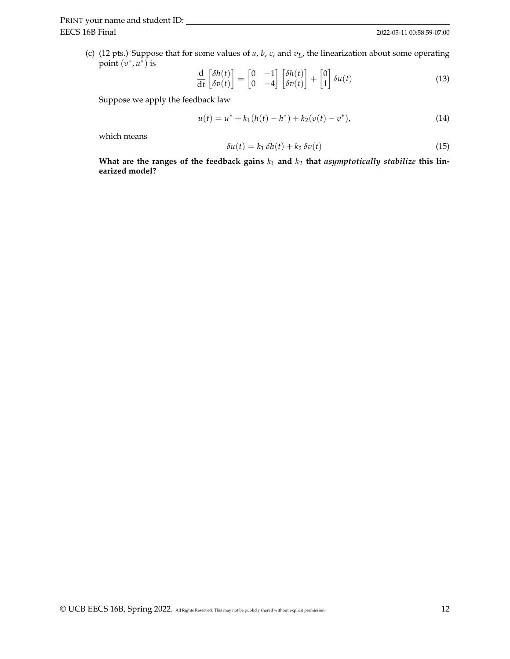(c) (12 pts.) Suppose that for some values of *a*, *b*, *c*, and *vL*, the linearization about some operating point  $(v^*, u^*)$  is

$$
\frac{d}{dt} \begin{bmatrix} \delta h(t) \\ \delta v(t) \end{bmatrix} = \begin{bmatrix} 0 & -1 \\ 0 & -4 \end{bmatrix} \begin{bmatrix} \delta h(t) \\ \delta v(t) \end{bmatrix} + \begin{bmatrix} 0 \\ 1 \end{bmatrix} \delta u(t) \tag{13}
$$

Suppose we apply the feedback law

$$
u(t) = u^* + k_1(h(t) - h^*) + k_2(v(t) - v^*),
$$
\n(14)

which means

$$
\delta u(t) = k_1 \, \delta h(t) + k_2 \, \delta v(t) \tag{15}
$$

What are the ranges of the feedback gains  $k_1$  and  $k_2$  that *asymptotically stabilize* this lin**earized model?**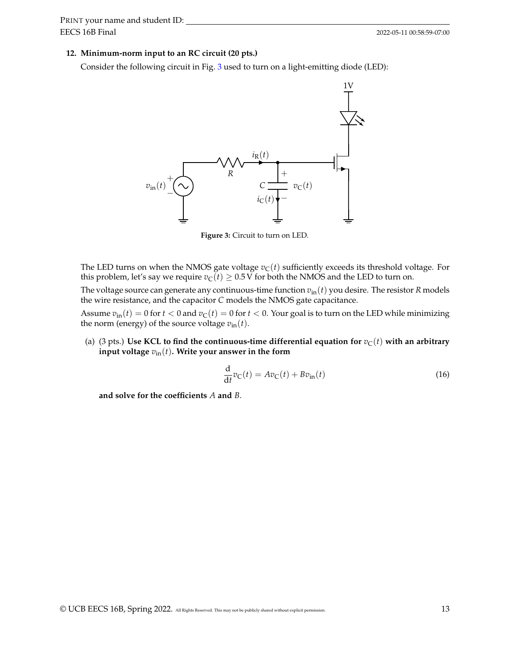#### **12. Minimum-norm input to an RC circuit (20 pts.)**

<span id="page-12-0"></span>Consider the following circuit in Fig. [3](#page-12-0) used to turn on a light-emitting diode (LED):



**Figure 3:** Circuit to turn on LED.

The LED turns on when the NMOS gate voltage  $v<sub>C</sub>(t)$  sufficiently exceeds its threshold voltage. For this problem, let's say we require  $v<sub>C</sub>(t) \ge 0.5$  V for both the NMOS and the LED to turn on.

The voltage source can generate any continuous-time function  $v_{\text{in}}(t)$  you desire. The resistor *R* models the wire resistance, and the capacitor *C* models the NMOS gate capacitance.

Assume  $v_{\text{in}}(t) = 0$  for  $t < 0$  and  $v_{\text{C}}(t) = 0$  for  $t < 0$ . Your goal is to turn on the LED while minimizing the norm (energy) of the source voltage  $v_{\text{in}}(t)$ .

(a) (3 pts.) Use KCL to find the continuous-time differential equation for  $v_C(t)$  with an arbitrary **input voltage** *v*in(*t*)**. Write your answer in the form**

$$
\frac{\mathrm{d}}{\mathrm{d}t}v_{\mathrm{C}}(t) = Av_{\mathrm{C}}(t) + Bv_{\mathrm{in}}(t)
$$
\n(16)

**and solve for the coefficients** *A* **and** *B*.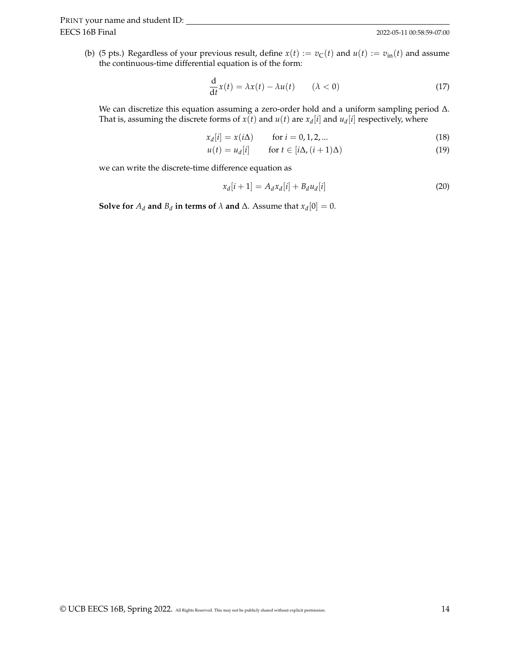EECS 16B Final PRINT your name and student ID:

(b) (5 pts.) Regardless of your previous result, define  $x(t) := v_C(t)$  and  $u(t) := v_{in}(t)$  and assume the continuous-time differential equation is of the form:

$$
\frac{d}{dt}x(t) = \lambda x(t) - \lambda u(t) \qquad (\lambda < 0)
$$
\n(17)

We can discretize this equation assuming a zero-order hold and a uniform sampling period ∆. That is, assuming the discrete forms of  $x(t)$  and  $u(t)$  are  $x_d[i]$  and  $u_d[i]$  respectively, where

$$
x_d[i] = x(i\Delta) \qquad \text{for } i = 0, 1, 2, ... \tag{18}
$$

$$
u(t) = u_d[i] \quad \text{for } t \in [i\Delta, (i+1)\Delta)
$$
 (19)

we can write the discrete-time difference equation as

$$
x_d[i+1] = A_d x_d[i] + B_d u_d[i] \tag{20}
$$

**Solve for**  $A_d$  **and**  $B_d$  **in terms of**  $\lambda$  **and**  $\Delta$ . Assume that  $x_d[0] = 0$ .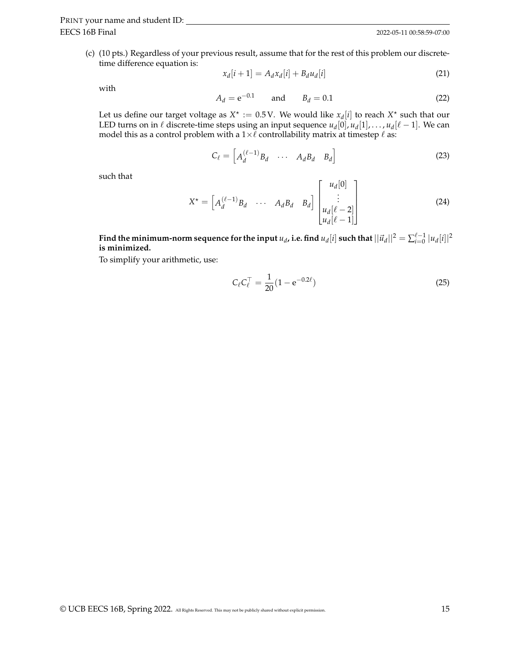(c) (10 pts.) Regardless of your previous result, assume that for the rest of this problem our discretetime difference equation is:

$$
x_d[i+1] = A_d x_d[i] + B_d u_d[i] \tag{21}
$$

with

$$
A_d = e^{-0.1} \qquad \text{and} \qquad B_d = 0.1 \tag{22}
$$

Let us define our target voltage as  $X^* := 0.5$  V. We would like  $x_d[i]$  to reach  $X^*$  such that our LED turns on in  $\ell$  discrete-time steps using an input sequence  $u_d[0]$ ,  $u_d[1]$ , . . . ,  $u_d[\ell-1]$ . We can model this as a control problem with a  $1\times\ell$  controllability matrix at timestep  $\ell$  as:

$$
C_{\ell} = \begin{bmatrix} A_d^{(\ell-1)} B_d & \cdots & A_d B_d & B_d \end{bmatrix}
$$
 (23)

such that

$$
X^* = \begin{bmatrix} A_d^{(\ell-1)} B_d & \cdots & A_d B_d & B_d \end{bmatrix} \begin{bmatrix} u_d[0] \\ \vdots \\ u_d[\ell-2] \\ u_d[\ell-1] \end{bmatrix} \tag{24}
$$

 $\mathbf{r}$ 

Find the minimum-norm sequence for the input  $u_d$ , i.e. find  $u_d[i]$  such that  $||\vec{u}_d||^2 = \sum_{i=0}^{\ell-1} |u_d[i]|^2$ **is minimized.**

To simplify your arithmetic, use:

$$
C_{\ell}C_{\ell}^{\top} = \frac{1}{20}(1 - e^{-0.2\ell})
$$
\n(25)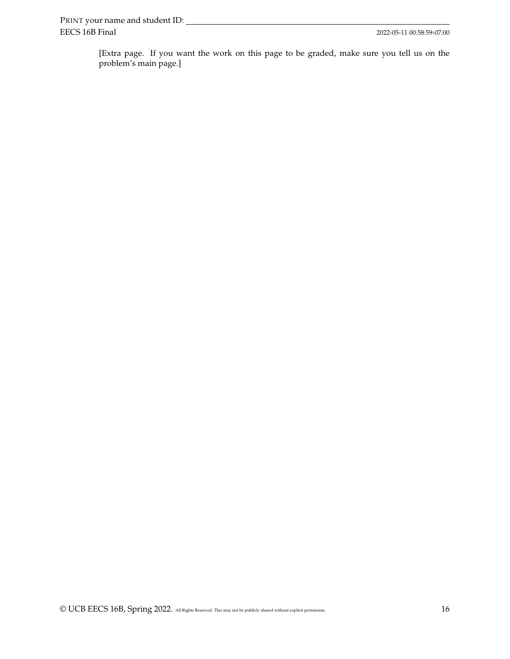[Extra page. If you want the work on this page to be graded, make sure you tell us on the problem's main page.]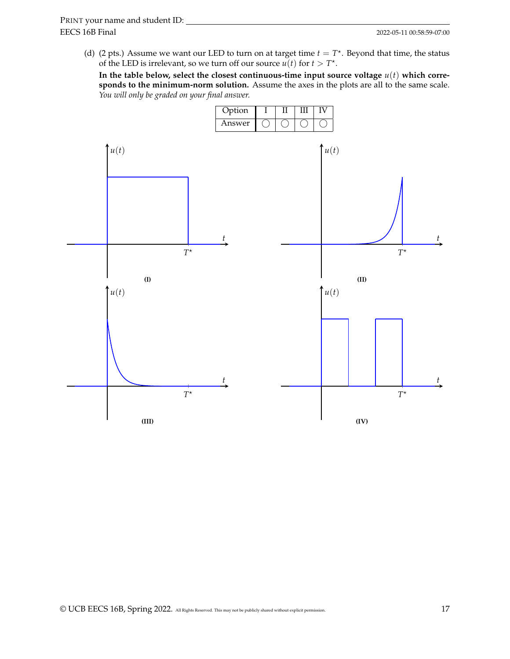(d) (2 pts.) Assume we want our LED to turn on at target time  $t = T^*$ . Beyond that time, the status of the LED is irrelevant, so we turn off our source  $u(t)$  for  $t > T^*$ .

In the table below, select the closest continuous-time input source voltage  $u(t)$  which corre**sponds to the minimum-norm solution.** Assume the axes in the plots are all to the same scale. *You will only be graded on your final answer.*

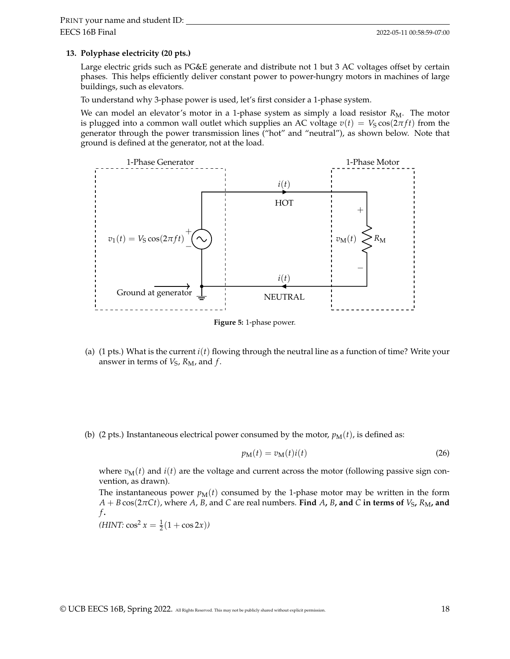#### **13. Polyphase electricity (20 pts.)**

Large electric grids such as PG&E generate and distribute not 1 but 3 AC voltages offset by certain phases. This helps efficiently deliver constant power to power-hungry motors in machines of large buildings, such as elevators.

To understand why 3-phase power is used, let's first consider a 1-phase system.

We can model an elevator's motor in a 1-phase system as simply a load resistor  $R_M$ . The motor is plugged into a common wall outlet which supplies an AC voltage  $v(t) = V_S \cos(2\pi f t)$  from the generator through the power transmission lines ("hot" and "neutral"), as shown below. Note that ground is defined at the generator, not at the load.



**Figure 5:** 1-phase power.

- (a) (1 pts.) What is the current *i*(*t*) flowing through the neutral line as a function of time? Write your answer in terms of  $V_S$ ,  $R_M$ , and  $f$ .
- (b) (2 pts.) Instantaneous electrical power consumed by the motor,  $p_M(t)$ , is defined as:

$$
p_{\mathbf{M}}(t) = v_{\mathbf{M}}(t)i(t)
$$
\n(26)

where  $v_M(t)$  and  $i(t)$  are the voltage and current across the motor (following passive sign convention, as drawn).

The instantaneous power  $p_M(t)$  consumed by the 1-phase motor may be written in the form  $A + B \cos(2\pi C t)$ , where *A*, *B*, and *C* are real numbers. **Find** *A*, *B*, and *C* in terms of *V*<sub>S</sub>, *R*<sub>M</sub>, and *f* **.**

 $(HINT: \cos^2 x = \frac{1}{2}(1 + \cos 2x))$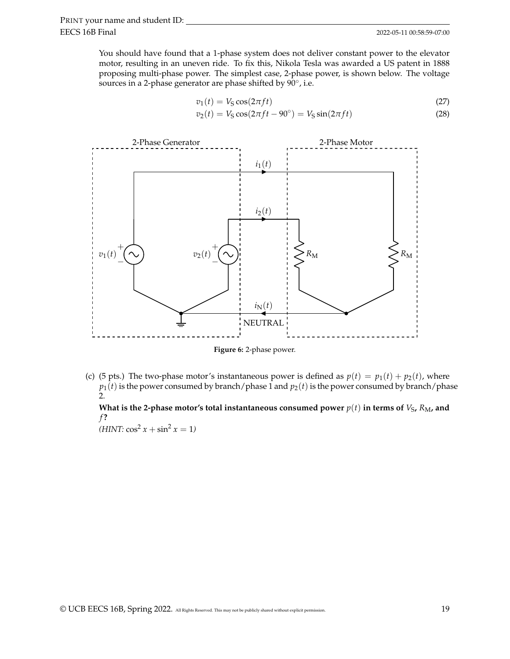You should have found that a 1-phase system does not deliver constant power to the elevator motor, resulting in an uneven ride. To fix this, Nikola Tesla was awarded a US patent in 1888 proposing multi-phase power. The simplest case, 2-phase power, is shown below. The voltage sources in a 2-phase generator are phase shifted by  $90^{\circ}$ , i.e.

$$
v_1(t) = V_S \cos(2\pi ft)
$$
\n
$$
v_2(t) = V_S \cos(2\pi ft - 90^\circ) = V_S \sin(2\pi ft)
$$
\n(27)



**Figure 6:** 2-phase power.

(c) (5 pts.) The two-phase motor's instantaneous power is defined as  $p(t) = p_1(t) + p_2(t)$ , where  $p_1(t)$  is the power consumed by branch/phase 1 and  $p_2(t)$  is the power consumed by branch/phase 2.

What is the 2-phase motor's total instantaneous consumed power  $p(t)$  in terms of  $V_{\rm S}$ ,  $R_{\rm M}$ , and *f* **?**

 $(HINT: \cos^2 x + \sin^2 x = 1)$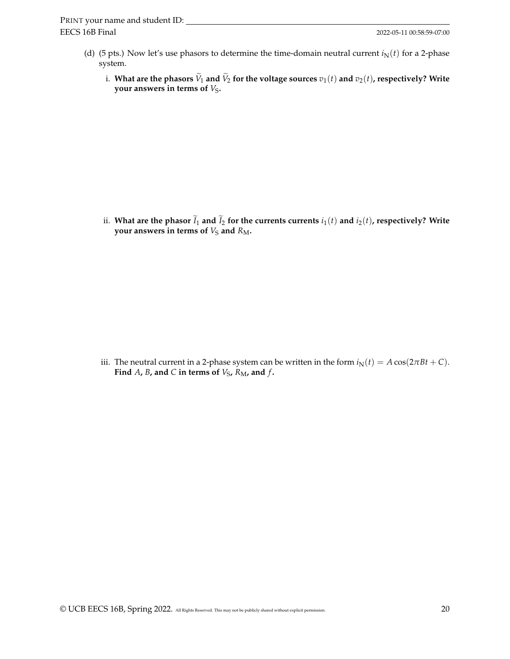- (d) (5 pts.) Now let's use phasors to determine the time-domain neutral current  $i_N(t)$  for a 2-phase system.
	- i. What are the phasors  $\widetilde{V}_1$  and  $\widetilde{V}_2$  for the voltage sources  $v_1(t)$  and  $v_2(t)$ , respectively? Write **your answers in terms of**  $V_S$ **.**

ii. What are the phasor  $\widetilde{I}_1$  and  $\widetilde{I}_2$  for the currents currents  $i_1(t)$  and  $i_2(t)$ , respectively? Write **your answers in terms of**  $V_S$  and  $R_M$ .

iii. The neutral current in a 2-phase system can be written in the form  $i_N(t) = A \cos(2\pi Bt + C)$ . Find  $A$ ,  $B$ , and  $C$  in terms of  $V_S$ ,  $R_M$ , and  $f$ .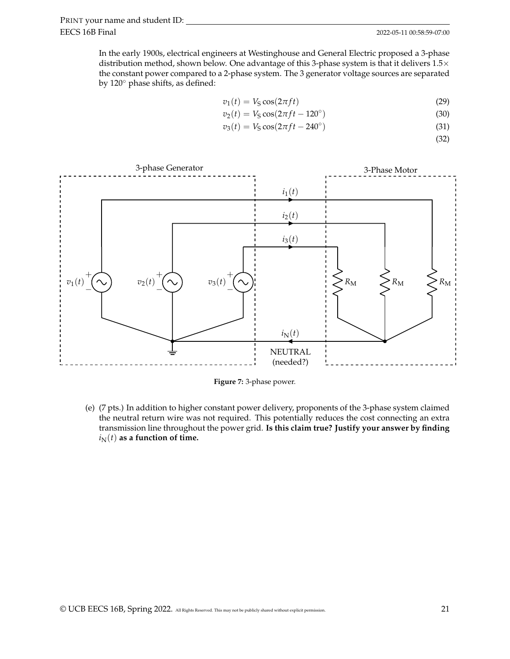In the early 1900s, electrical engineers at Westinghouse and General Electric proposed a 3-phase distribution method, shown below. One advantage of this 3-phase system is that it delivers  $1.5\times$ the constant power compared to a 2-phase system. The 3 generator voltage sources are separated by 120◦ phase shifts, as defined:

$$
v_1(t) = V_S \cos(2\pi ft) \tag{29}
$$

$$
v_2(t) = V_S \cos(2\pi ft - 120^\circ)
$$
\n(30)

$$
v_3(t) = V_S \cos(2\pi ft - 240^\circ) \tag{31}
$$

(32)



**Figure 7:** 3-phase power.

(e) (7 pts.) In addition to higher constant power delivery, proponents of the 3-phase system claimed the neutral return wire was not required. This potentially reduces the cost connecting an extra transmission line throughout the power grid. **Is this claim true? Justify your answer by finding**  $i<sub>N</sub>(t)$  as a function of time.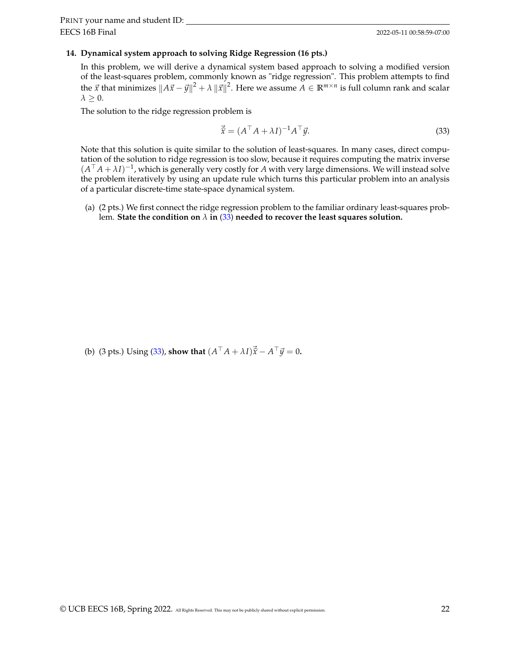#### **14. Dynamical system approach to solving Ridge Regression (16 pts.)**

In this problem, we will derive a dynamical system based approach to solving a modified version of the least-squares problem, commonly known as "ridge regression". This problem attempts to find the  $\vec{x}$  that minimizes  $\|A\vec{x}-\vec{y}\|^2+\lambda\,\|\vec{x}\|^2.$  Here we assume  $A\in\mathbb{R}^{m\times n}$  is full column rank and scalar  $\lambda > 0$ .

The solution to the ridge regression problem is

<span id="page-21-0"></span>
$$
\vec{\hat{x}} = (A^{\top} A + \lambda I)^{-1} A^{\top} \vec{y}.
$$
\n(33)

Note that this solution is quite similar to the solution of least-squares. In many cases, direct computation of the solution to ridge regression is too slow, because it requires computing the matrix inverse  $(A^{\top}A + \lambda I)^{-1}$ , which is generally very costly for *A* with very large dimensions. We will instead solve the problem iteratively by using an update rule which turns this particular problem into an analysis of a particular discrete-time state-space dynamical system.

(a) (2 pts.) We first connect the ridge regression problem to the familiar ordinary least-squares problem. **State the condition on**  $\lambda$  **in** [\(33\)](#page-21-0) needed to recover the least squares solution.

(b) (3 pts.) Using [\(33\)](#page-21-0), **show that**  $(A^{\top} A + \lambda I)\vec{x} - A^{\top} \vec{y} = 0$ .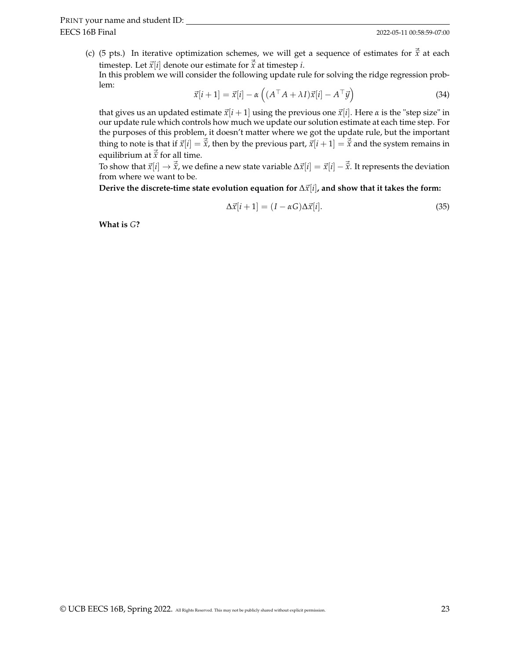(c) (5 pts.) In iterative optimization schemes, we will get a sequence of estimates for  $\vec{\hat{x}}$  at each timestep. Let  $\vec{x}[i]$  denote our estimate for  $\vec{\hat{x}}$  at timestep *i*.

In this problem we will consider the following update rule for solving the ridge regression problem:

$$
\vec{x}[i+1] = \vec{x}[i] - \alpha \left( (A^\top A + \lambda I)\vec{x}[i] - A^\top \vec{y} \right)
$$
\n(34)

that gives us an updated estimate  $\vec{x}[i+1]$  using the previous one  $\vec{x}[i]$ . Here  $\alpha$  is the "step size" in our update rule which controls how much we update our solution estimate at each time step. For the purposes of this problem, it doesn't matter where we got the update rule, but the important thing to note is that if  $\vec{x}[i] = \vec{\hat{x}}$ , then by the previous part,  $\vec{x}[i+1] = \vec{\hat{x}}$  and the system remains in equilibrium at  $\vec{\hat{x}}$  for all time.

To show that  $\vec{x}[i] \rightarrow \vec{\hat{x}}$ , we define a new state variable  $\Delta \vec{x}[i] = \vec{x}[i] - \vec{\hat{x}}$ . It represents the deviation from where we want to be.

**Derive the discrete-time state evolution equation for** ∆⃗*x*[*i*]**, and show that it takes the form:**

<span id="page-22-0"></span>
$$
\Delta \vec{x}[i+1] = (I - \alpha G) \Delta \vec{x}[i]. \tag{35}
$$

**What is** *G***?**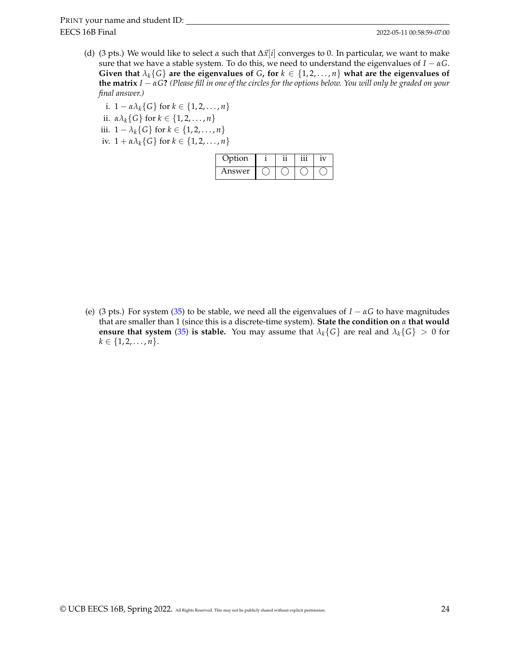- (d) (3 pts.) We would like to select  $\alpha$  such that  $\Delta \vec{x}[i]$  converges to 0. In particular, we want to make sure that we have a stable system. To do this, we need to understand the eigenvalues of  $I - \alpha G$ . **Given that**  $\lambda_k$  {G} are the eigenvalues of *G*, for  $k \in \{1, 2, ..., n\}$  what are the eigenvalues of **the matrix** *I* − *αG***?** *(Please fill in one of the circles for the options below. You will only be graded on your final answer.)*
	- i.  $1 \alpha \lambda_k$  { *G* } for  $k \in \{1, 2, ..., n\}$ ii.  $\alpha \lambda_k \{G\}$  for  $k \in \{1, 2, ..., n\}$ iii.  $1 - \lambda_k$ {*G*} for  $k \in \{1, 2, ..., n\}$ iv.  $1 + \alpha \lambda_k \{G\}$  for  $k \in \{1, 2, ..., n\}$

| Option |  | 1 V |
|--------|--|-----|
| Answer |  |     |

(e) (3 pts.) For system [\(35\)](#page-22-0) to be stable, we need all the eigenvalues of *I* − *αG* to have magnitudes that are smaller than 1 (since this is a discrete-time system). **State the condition on** *α* **that would ensure that system** [\(35\)](#page-22-0) **is stable.** You may assume that  $\lambda_k\{G\}$  are real and  $\lambda_k\{G\} > 0$  for  $k \in \{1, 2, \ldots, n\}.$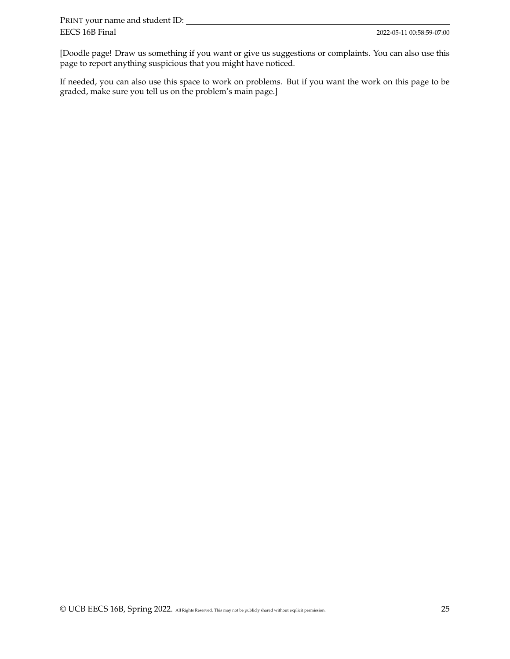[Doodle page! Draw us something if you want or give us suggestions or complaints. You can also use this page to report anything suspicious that you might have noticed.

If needed, you can also use this space to work on problems. But if you want the work on this page to be graded, make sure you tell us on the problem's main page.]